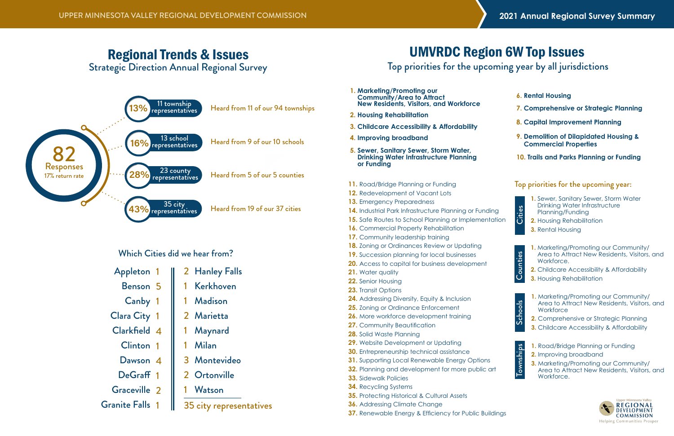

# Regional Trends & Issues

Strategic Direction Annual Regional Survey

- **1. Marketing/Promoting our Community/Area to Attract New Residents, Visitors, and Workforce**
- **2. Housing Rehabilitation**
- **3. Childcare Accessibility & Affordability**
- **4. Improving broadband**
- **5. Sewer, Sanitary Sewer, Storm Water, Drinking Water Infrastructure Planning or Funding**
- **11.** Road/Bridge Planning or Funding 12. Redevelopment of Vacant Lots **13.** Emergency Preparedness 14. Industrial Park Infrastructure Planning or Funding **15.** Safe Routes to School Planning or Implementation **16.** Commercial Property Rehabilitation 17. Community leadership training **18.** Zoning or Ordinances Review or Updating **19.** Succession planning for local businesses **20.** Access to capital for business development **21.** Water quality **22.** Senior Housing **23.** Transit Options **24.** Addressing Diversity, Equity & Inclusion **25.** Zoning or Ordinance Enforcement **26.** More workforce development training **27.** Community Beautification **28.** Solid Waste Planning **29.** Website Development or Updating **30.** Entrepreneurship technical assistance **31.** Supporting Local Renewable Energy Options **32.** Planning and development for more public art **33.** Sidewalk Policies **34.** Recycling Systems **35.** Protecting Historical & Cultural Assets
- **36.** Addressing Climate Change
- **37.** Renewable Energy & Efficiency for Public Buildings
- **1.** Marketing/Promoting our Community/ Area to Attract New Residents, Visitors, and Workforce.
- **2.** Childcare Accessibility & Affordability
- **3.** Housing Rehabilitation



- **1.** Road/Bridge Planning or Funding
- **2.** Improving broadband
- **3.** Marketing/Promoting our Community/ Area to Attract New Residents, Visitors, and **Workforce**



- **1.** Marketing/Promoting our Community/ Area to Attract New Residents, Visitors, and **Workforce**
- **2.** Comprehensive or Strategic Planning
- **3.** Childcare Accessibility & Affordability

# UMVRDC Region 6W Top Issues

# Top priorities for the upcoming year by all jurisdictions

- **1.** Sewer, Sanitary Sewer, Storm Water Drinking Water Infrastructure Planning/Funding
- **2.** Housing Rehabilitation
- **3.** Rental Housing

| $\frac{1}{2}$<br>ij |
|---------------------|
| $\frac{1}{2}$<br>⅀  |

**Cities** 



#### Top priorities for the upcoming year:

- **6. Rental Housing**
- **7. Comprehensive or Strategic Planning**
- **8. Capital Improvement Planning**
- **9. Demolition of Dilapidated Housing & Commercial Properties**
- **10. Trails and Parks Planning or Funding**

Which Cities did we hear from?



| Appleton 1             | 2 Hanley Falls          |
|------------------------|-------------------------|
| Benson 5               | Kerkhoven               |
| Canby 1                | 1 Madison               |
| <b>Clara City 1</b>    | 2 Marietta              |
| Clarkfield 4           | 1 Maynard               |
| Clinton 1              | 1 Milan                 |
| Dawson 4               | 3 Montevideo            |
| DeGraff 1              | 2 Ortonville            |
| Graceville 2           | Watson                  |
| <b>Granite Falls 1</b> | 35 city representatives |
|                        |                         |